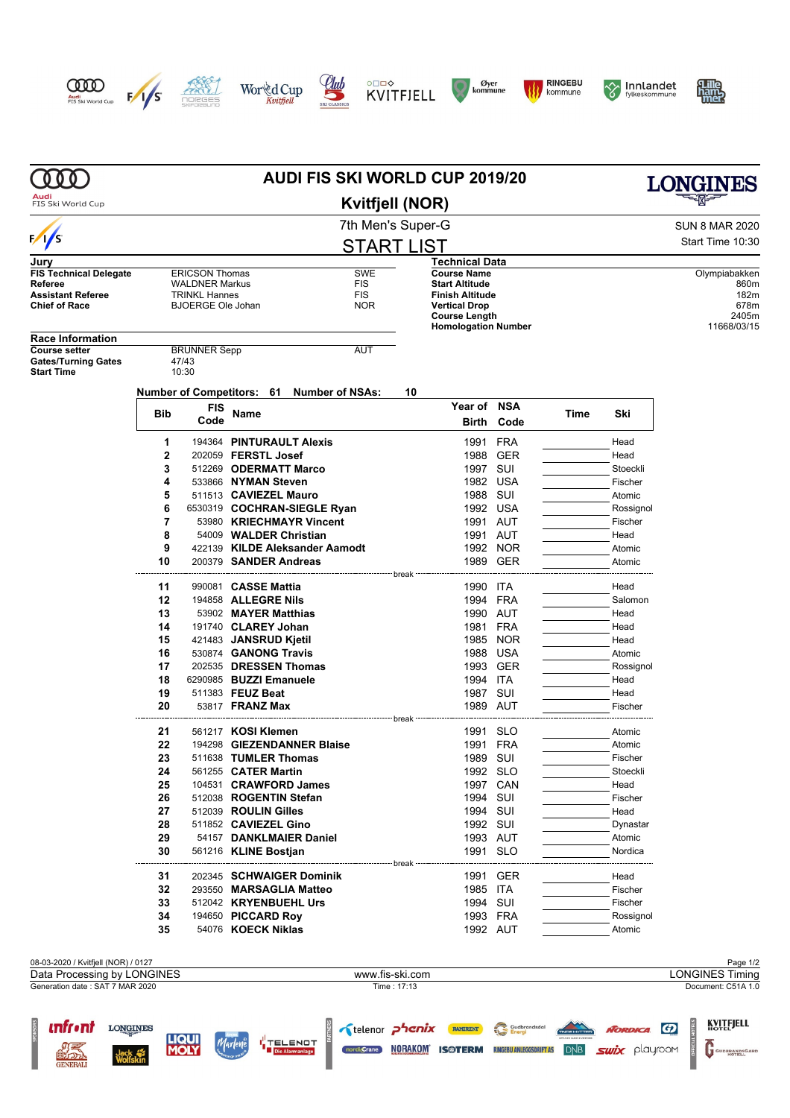

**unfront** Longuyes

**OFFICIAL** 

**LIQUI**<br>**MOLY** 

Marlene HTELENOT











**Examples Constitution of Construction of the Constitution of the Constitution of the Constitution Constitution of the Constitution of Constitution Constitution of the Constitution Constitution Constitution Constitution Co** 

GUDBRANDSGARD





|                                                                    |            |                                               |                                                 | <b>AUDI FIS SKI WORLD CUP 2019/20</b>     |                                                    |                   |      |                     |                                    |
|--------------------------------------------------------------------|------------|-----------------------------------------------|-------------------------------------------------|-------------------------------------------|----------------------------------------------------|-------------------|------|---------------------|------------------------------------|
| Audi<br>FIS Ski World Cup                                          |            |                                               |                                                 | <b>Kvitfjell (NOR)</b>                    |                                                    |                   |      |                     |                                    |
|                                                                    |            |                                               |                                                 | 7th Men's Super-G                         |                                                    |                   |      |                     | <b>SUN 8 MAR 2020</b>              |
| $\frac{1}{s}$                                                      |            |                                               |                                                 | <b>START LIST</b>                         |                                                    |                   |      |                     | Start Time 10:30                   |
| Jury                                                               |            |                                               |                                                 |                                           | <b>Technical Data</b>                              |                   |      |                     |                                    |
| <b>FIS Technical Delegate</b>                                      |            | <b>ERICSON Thomas</b>                         |                                                 | SWE                                       | <b>Course Name</b>                                 |                   |      |                     | Olympiabakken                      |
| Referee<br><b>Assistant Referee</b>                                |            | <b>WALDNER Markus</b><br><b>TRINKL Hannes</b> |                                                 | <b>FIS</b><br>FIS                         | <b>Start Altitude</b><br><b>Finish Altitude</b>    |                   |      |                     | 860m<br>182m                       |
| <b>Chief of Race</b>                                               |            | <b>BJOERGE Ole Johan</b>                      |                                                 | <b>NOR</b>                                | <b>Vertical Drop</b>                               |                   |      |                     | 678m                               |
|                                                                    |            |                                               |                                                 |                                           | <b>Course Length</b><br><b>Homologation Number</b> |                   |      |                     | 2405m<br>11668/03/15               |
| <b>Race Information</b>                                            |            |                                               |                                                 |                                           |                                                    |                   |      |                     |                                    |
| <b>Course setter</b><br><b>Gates/Turning Gates</b>                 |            | <b>BRUNNER Sepp</b><br>47/43                  |                                                 | AUT                                       |                                                    |                   |      |                     |                                    |
| <b>Start Time</b>                                                  |            | 10:30                                         |                                                 |                                           |                                                    |                   |      |                     |                                    |
|                                                                    |            |                                               |                                                 | Number of Competitors: 61 Number of NSAs: | 10                                                 |                   |      |                     |                                    |
|                                                                    |            | FIS                                           |                                                 |                                           | Year of                                            | <b>NSA</b>        |      |                     |                                    |
|                                                                    | <b>Bib</b> | Code                                          | Name                                            |                                           | Birth                                              | Code              | Time | Ski                 |                                    |
|                                                                    |            |                                               |                                                 |                                           |                                                    |                   |      |                     |                                    |
|                                                                    | 1          |                                               | 194364 PINTURAULT Alexis                        |                                           | 1991                                               | <b>FRA</b>        |      | Head                |                                    |
|                                                                    | 2<br>3     |                                               | 202059 FERSTL Josef<br>512269 ODERMATT Marco    |                                           | 1988<br>1997                                       | <b>GER</b><br>SUI |      | Head<br>Stoeckli    |                                    |
|                                                                    | 4          |                                               | 533866 NYMAN Steven                             |                                           | 1982 USA                                           |                   |      | Fischer             |                                    |
|                                                                    | 5          |                                               | 511513 CAVIEZEL Mauro                           |                                           | 1988                                               | SUI               |      | Atomic              |                                    |
|                                                                    | 6          |                                               |                                                 | 6530319 COCHRAN-SIEGLE Ryan               | 1992 USA                                           |                   |      | Rossignol           |                                    |
|                                                                    | 7          |                                               |                                                 | 53980 KRIECHMAYR Vincent                  | 1991 AUT                                           |                   |      | Fischer             |                                    |
|                                                                    | 8          |                                               | 54009 WALDER Christian                          |                                           | 1991                                               | AUT               |      | Head                |                                    |
|                                                                    | 9          |                                               |                                                 | 422139 KILDE Aleksander Aamodt            |                                                    | 1992 NOR          |      | Atomic              |                                    |
|                                                                    | 10         |                                               | 200379 SANDER Andreas                           | break -                                   |                                                    | 1989 GER          |      | Atomic              |                                    |
|                                                                    | 11         | 990081                                        | <b>CASSE Mattia</b>                             |                                           | 1990 ITA                                           |                   |      | Head                |                                    |
|                                                                    | 12         |                                               | 194858 <b>ALLEGRE Nils</b>                      |                                           | 1994 FRA                                           |                   |      | Salomon             |                                    |
|                                                                    | 13         |                                               | 53902 MAYER Matthias                            |                                           | 1990 AUT                                           |                   |      | Head                |                                    |
|                                                                    | 14         |                                               | 191740 CLAREY Johan                             |                                           | 1981                                               | <b>FRA</b>        |      | Head                |                                    |
|                                                                    | 15<br>16   |                                               | 421483 JANSRUD Kjetil<br>530874 GANONG Travis   |                                           | 1988                                               | 1985 NOR<br>USA   |      | Head                |                                    |
|                                                                    | 17         |                                               | 202535 DRESSEN Thomas                           |                                           |                                                    | 1993 GER          |      | Atomic<br>Rossignol |                                    |
|                                                                    | 18         |                                               | 6290985 BUZZI Emanuele                          |                                           | 1994 ITA                                           |                   |      | Head                |                                    |
|                                                                    | 19         |                                               | 511383 FEUZ Beat                                |                                           | 1987                                               | SUI               |      | Head                |                                    |
|                                                                    | 20         |                                               | 53817 <b>FRANZ Max</b>                          |                                           | 1989 AUT                                           |                   |      | Fischer             |                                    |
|                                                                    |            |                                               |                                                 |                                           |                                                    |                   |      |                     |                                    |
|                                                                    | 21<br>22   |                                               | 561217 KOSI Klemen                              | 194298 GIEZENDANNER Blaise                | 1991 SLO<br>1991                                   | FRA               |      | Atomic<br>Atomic    |                                    |
|                                                                    | 23         |                                               | 511638 TUMLER Thomas                            |                                           | 1989 SUI                                           |                   |      | Fischer             |                                    |
|                                                                    | 24         |                                               | 561255 CATER Martin                             |                                           | 1992 SLO                                           |                   |      | Stoeckli            |                                    |
|                                                                    | 25         |                                               | 104531 CRAWFORD James                           |                                           |                                                    | 1997 CAN          |      | Head                |                                    |
|                                                                    | 26         |                                               | 512038 ROGENTIN Stefan                          |                                           | 1994 SUI                                           |                   |      | Fischer             |                                    |
|                                                                    | 27         |                                               | 512039 ROULIN Gilles                            |                                           | 1994 SUI                                           |                   |      | Head                |                                    |
|                                                                    | 28         |                                               | 511852 CAVIEZEL Gino                            |                                           | 1992 SUI                                           |                   |      | Dynastar            |                                    |
|                                                                    | 29<br>30   |                                               | 54157 DANKLMAIER Daniel<br>561216 KLINE Bostjan |                                           | 1993 AUT<br>1991 SLO                               |                   |      | Atomic<br>Nordica   |                                    |
|                                                                    |            |                                               |                                                 | break                                     |                                                    |                   |      |                     |                                    |
|                                                                    | 31         |                                               |                                                 | 202345 SCHWAIGER Dominik                  |                                                    | 1991 GER          |      | Head                |                                    |
|                                                                    | 32         |                                               | 293550 MARSAGLIA Matteo                         |                                           | 1985 ITA                                           |                   |      | Fischer             |                                    |
|                                                                    | 33         |                                               | 512042 KRYENBUEHL Urs                           |                                           | 1994 SUI                                           |                   |      | Fischer             |                                    |
|                                                                    | 34<br>35   |                                               | 194650 PICCARD Roy<br>54076 KOECK Niklas        |                                           | 1993 FRA<br>1992 AUT                               |                   |      | Rossignol<br>Atomic |                                    |
|                                                                    |            |                                               |                                                 |                                           |                                                    |                   |      |                     |                                    |
|                                                                    |            |                                               |                                                 |                                           |                                                    |                   |      |                     |                                    |
| 08-03-2020 / Kvitfjell (NOR) / 0127<br>Data Processing by LONGINES |            |                                               |                                                 | www.fis-ski.com                           |                                                    |                   |      |                     | Page 1/2<br><b>LONGINES Timing</b> |